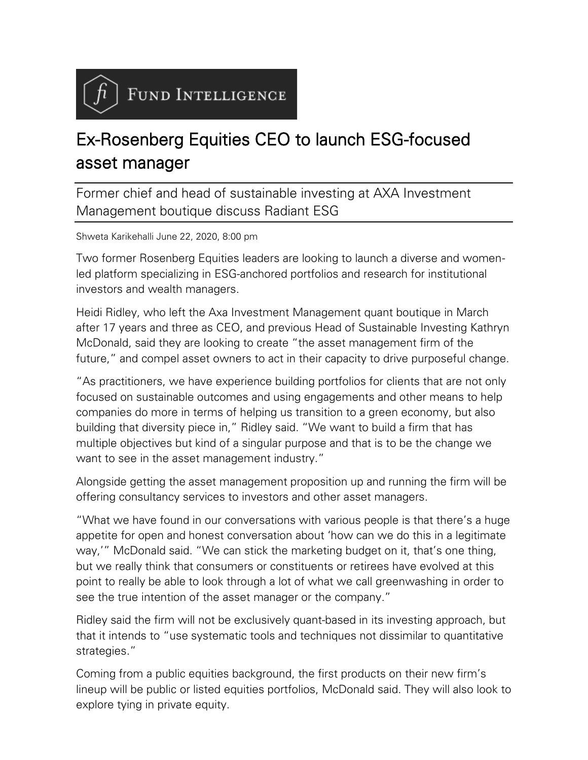FUND INTELLIGENCE

## Ex-Rosenberg Equities CEO to launch ESG-focused asset manager

Former chief and head of sustainable investing at AXA Investment Management boutique discuss Radiant ESG

Shweta Karikehalli June 22, 2020, 8:00 pm

Two former Rosenberg Equities leaders are looking to launch a diverse and womenled platform specializing in ESG-anchored portfolios and research for institutional investors and wealth managers.

Heidi Ridley, who left the Axa Investment Management quant boutique in March after 17 years and three as CEO, and previous Head of Sustainable Investing Kathryn McDonald, said they are looking to create "the asset management firm of the future," and compel asset owners to act in their capacity to drive purposeful change.

"As practitioners, we have experience building portfolios for clients that are not only focused on sustainable outcomes and using engagements and other means to help companies do more in terms of helping us transition to a green economy, but also building that diversity piece in," Ridley said. "We want to build a firm that has multiple objectives but kind of a singular purpose and that is to be the change we want to see in the asset management industry."

Alongside getting the asset management proposition up and running the firm will be offering consultancy services to investors and other asset managers.

"What we have found in our conversations with various people is that there's a huge appetite for open and honest conversation about 'how can we do this in a legitimate way,'" McDonald said. "We can stick the marketing budget on it, that's one thing, but we really think that consumers or constituents or retirees have evolved at this point to really be able to look through a lot of what we call greenwashing in order to see the true intention of the asset manager or the company."

Ridley said the firm will not be exclusively quant-based in its investing approach, but that it intends to "use systematic tools and techniques not dissimilar to quantitative strategies."

Coming from a public equities background, the first products on their new firm's lineup will be public or listed equities portfolios, McDonald said. They will also look to explore tying in private equity.